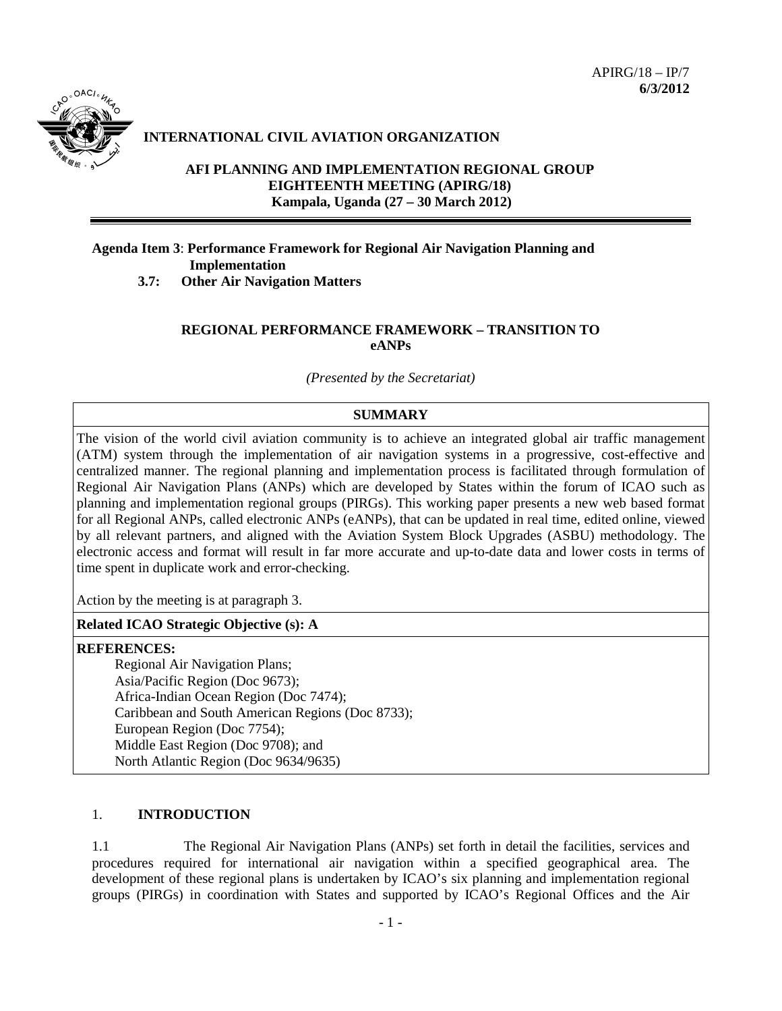

# **INTERNATIONAL CIVIL AVIATION ORGANIZATION**

# **AFI PLANNING AND IMPLEMENTATION REGIONAL GROUP EIGHTEENTH MEETING (APIRG/18) Kampala, Uganda (27 – 30 March 2012)**

# **Agenda Item 3**: **Performance Framework for Regional Air Navigation Planning and Implementation**

**3.7: Other Air Navigation Matters**

## **REGIONAL PERFORMANCE FRAMEWORK – TRANSITION TO eANPs**

*(Presented by the Secretariat)*

## **SUMMARY**

The vision of the world civil aviation community is to achieve an integrated global air traffic management (ATM) system through the implementation of air navigation systems in a progressive, cost-effective and centralized manner. The regional planning and implementation process is facilitated through formulation of Regional Air Navigation Plans (ANPs) which are developed by States within the forum of ICAO such as planning and implementation regional groups (PIRGs). This working paper presents a new web based format for all Regional ANPs, called electronic ANPs (eANPs), that can be updated in real time, edited online, viewed by all relevant partners, and aligned with the Aviation System Block Upgrades (ASBU) methodology. The electronic access and format will result in far more accurate and up-to-date data and lower costs in terms of time spent in duplicate work and error-checking.

Action by the meeting is at paragraph 3.

### **Related ICAO Strategic Objective (s): A**

#### **REFERENCES:**

Regional Air Navigation Plans; Asia/Pacific Region (Doc 9673); Africa-Indian Ocean Region (Doc 7474); Caribbean and South American Regions (Doc 8733); European Region (Doc 7754); Middle East Region (Doc 9708); and North Atlantic Region (Doc 9634/9635)

## 1. **INTRODUCTION**

1.1 The Regional Air Navigation Plans (ANPs) set forth in detail the facilities, services and procedures required for international air navigation within a specified geographical area. The development of these regional plans is undertaken by ICAO's six planning and implementation regional groups (PIRGs) in coordination with States and supported by ICAO's Regional Offices and the Air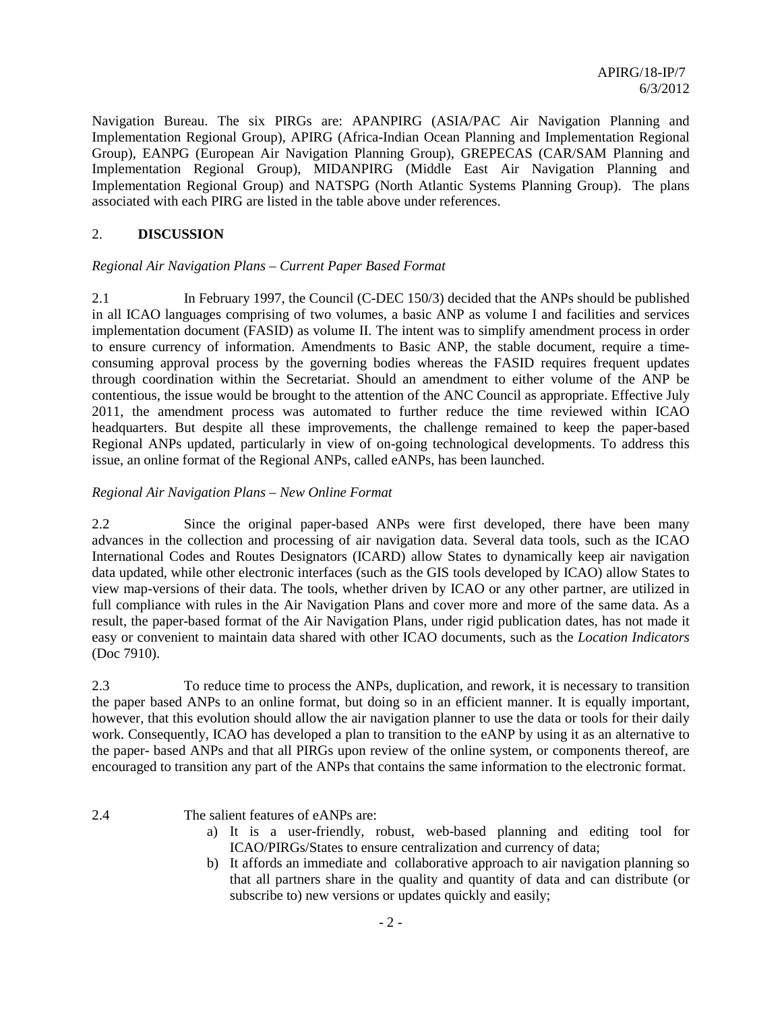Navigation Bureau. The six PIRGs are: APANPIRG (ASIA/PAC Air Navigation Planning and Implementation Regional Group), APIRG (Africa-Indian Ocean Planning and Implementation Regional Group), EANPG (European Air Navigation Planning Group), GREPECAS (CAR/SAM Planning and Implementation Regional Group), MIDANPIRG (Middle East Air Navigation Planning and Implementation Regional Group) and NATSPG (North Atlantic Systems Planning Group). The plans associated with each PIRG are listed in the table above under references.

## 2. **DISCUSSION**

### *Regional Air Navigation Plans – Current Paper Based Format*

2.1 In February 1997, the Council (C-DEC 150/3) decided that the ANPs should be published in all ICAO languages comprising of two volumes, a basic ANP as volume I and facilities and services implementation document (FASID) as volume II. The intent was to simplify amendment process in order to ensure currency of information. Amendments to Basic ANP, the stable document, require a timeconsuming approval process by the governing bodies whereas the FASID requires frequent updates through coordination within the Secretariat. Should an amendment to either volume of the ANP be contentious, the issue would be brought to the attention of the ANC Council as appropriate. Effective July 2011, the amendment process was automated to further reduce the time reviewed within ICAO headquarters. But despite all these improvements, the challenge remained to keep the paper-based Regional ANPs updated, particularly in view of on-going technological developments. To address this issue, an online format of the Regional ANPs, called eANPs, has been launched.

### *Regional Air Navigation Plans – New Online Format*

2.2 Since the original paper-based ANPs were first developed, there have been many advances in the collection and processing of air navigation data. Several data tools, such as the ICAO International Codes and Routes Designators (ICARD) allow States to dynamically keep air navigation data updated, while other electronic interfaces (such as the GIS tools developed by ICAO) allow States to view map-versions of their data. The tools, whether driven by ICAO or any other partner, are utilized in full compliance with rules in the Air Navigation Plans and cover more and more of the same data. As a result, the paper-based format of the Air Navigation Plans, under rigid publication dates, has not made it easy or convenient to maintain data shared with other ICAO documents, such as the *Location Indicators* (Doc 7910).

2.3 To reduce time to process the ANPs, duplication, and rework, it is necessary to transition the paper based ANPs to an online format, but doing so in an efficient manner. It is equally important, however, that this evolution should allow the air navigation planner to use the data or tools for their daily work. Consequently, ICAO has developed a plan to transition to the eANP by using it as an alternative to the paper- based ANPs and that all PIRGs upon review of the online system, or components thereof, are encouraged to transition any part of the ANPs that contains the same information to the electronic format.

2.4 The salient features of eANPs are:

- a) It is a user-friendly, robust, web-based planning and editing tool for ICAO/PIRGs/States to ensure centralization and currency of data;
- b) It affords an immediate and collaborative approach to air navigation planning so that all partners share in the quality and quantity of data and can distribute (or subscribe to) new versions or updates quickly and easily;